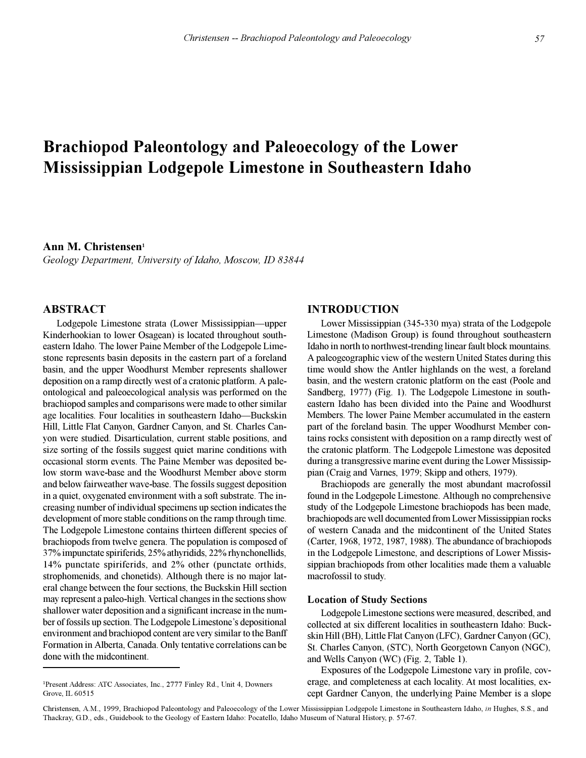# **Brachiopod Paleontology and Paleoecology of the Lower Mississippian Lodgepole Limestone in Southeastern Idaho**

# **Ann M. Christensen<sup>1</sup>**

*Geology Department, University of Idaho, Moscow, ID 83844*

## **ABSTRACT**

Lodgepole Limestone strata (Lower Mississippian—upper Kinderhookian to lower Osagean) is located throughout southeastern Idaho. The lower Paine Member of the Lodgepole Limestone represents basin deposits in the eastern part of a foreland basin, and the upper Woodhurst Member represents shallower deposition on a ramp directly west of a cratonic platform. A paleontological and paleoecological analysis was performed on the brachiopod samples and comparisons were made to other similar age localities. Four localities in southeastern Idaho-Buckskin Hill, Little Flat Canyon, Gardner Canyon, and St. Charles Canyon were studied. Disarticulation, current stable positions, and size sorting of the fossils suggest quiet marine conditions with occasional storm events. The Paine Member was deposited below storm wave-base and the Woodhurst Member above storm and below fairweather wave-base. The fossils suggest deposition in a quiet, oxygenated environment with a soft substrate. The increasing number of individual specimens up section indicates the development of more stable conditions on the ramp through time. The Lodgepole Limestone contains thirteen different species of brachiopods from twelve genera. The population is composed of 37% impunctate spiriferids, 25% athyridids, 22% rhynchonellids, 14% punctate spiriferids, and 2% other (punctate orthids, strophomenids, and chonetids). Although there is no major lateral change between the four sections, the Buckskin Hill section may represent a paleo-high. Vertical changes in the sections show shallower water deposition and a significant increase in the number of fossils up section. The Lodgepole Limestone's depositional environment and brachiopod content are very similar to the Banff Formation in Alberta, Canada. Only tentative correlations can be done with the midcontinent.

## **INTRODUCTION**

Lower Mississippian (345-330 mya) strata of the Lodgepole Limestone (Madison Group) is found throughout southeastern Idaho in north to northwest-trending linear fault block mountains. A paleogeographic view of the western United States during this time would show the Antler highlands on the west, a foreland basin, and the western cratonic platform on the east (Poole and Sandberg, 1977) (Fig. 1). The Lodgepole Limestone in southeastern Idaho has been divided into the Paine and Woodhurst Members. The lower Paine Member accumulated in the eastern part of the foreland basin. The upper Woodhurst Member contains rocks consistent with deposition on a ramp directly west of the cratonic platform. The Lodgepole Limestone was deposited during a transgressive marine event during the Lower Mississippian (Craig and Varnes, 1979; Skipp and others, 1979).

Brachiopods are generally the most abundant macrofossil found in the Lodgepole Limestone. Although no comprehensive study of the Lodgepole Limestone brachiopods has been made, brachiopods are well documented from Lower Mississippian rocks of western Canada and the midcontinent of the United States (Carter, 1968, 1972, 1987, 1988). The abundance of brachiopods in the Lodgepole Limestone, and descriptions of Lower Mississippian brachiopods from other localities made them a valuable macrofossil to study.

#### **Location of Study Sections**

Lodgepole Limestone sections were measured, described, and collected at six different localities in southeastern Idaho: Buckskin Hill (BH), Little Flat Canyon (LFC), Gardner Canyon (GC), St. Charles Canyon, (STC), North Georgetown Canyon (NGC), and Wells Canyon (WC) (Fig. 2, Table 1).

Exposures of the Lodgepole Limestone vary in profile, coverage, and completeness at each locality. At most localities, except Gardner Canyon, the underlying Paine Member is a slope

<sup>1</sup> Present Address: ATC Associates, Inc., 2777 Finley Rd., Unit 4, Downers Grove, IL 60515

Christensen, A.M., 1999, Brachiopod Paleontology and Paleoecology of the Lower Mississippian Lodgepole Limestone in Southeastern Idaho, *in* Hughes, S.S., and Thackray, G.D., eds., Guidebook to the Geology of Eastern Idaho: Pocatello, Idaho Museum of Natural History, p. 57-67.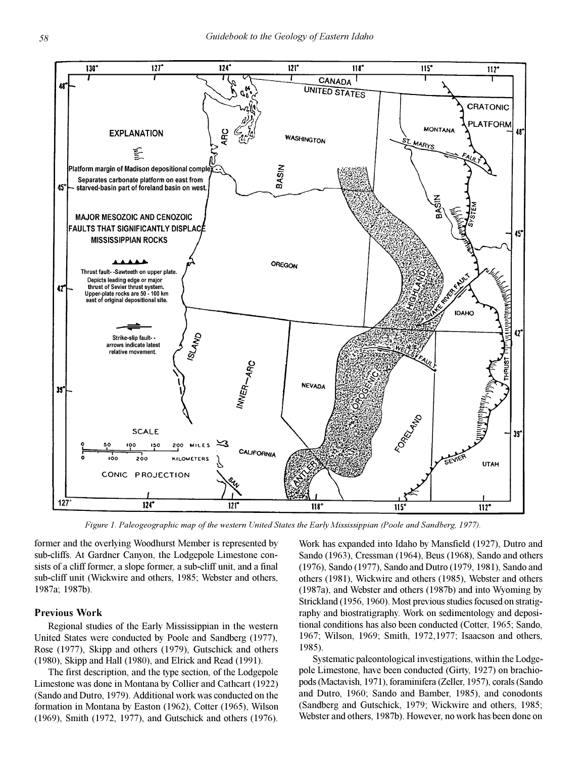

*Figure 1. Paleogeographic map of the western United States the Early Mississippian (Poole and Sandberg, 1977).*

former and the overlying Woodhurst Member is represented by sub-cliffs. At Gardner Canyon, the Lodgepole Limestone consists of a cliff former, a slope former, a sub-cliff unit, and a final sub-cliff unit (Wickwire and others, 1985; Webster and others, 1987a; 1987b).

# **Previous Work**

Regional studies of the Early Mississippian in the western United States were conducted by Poole and Sandberg (1977), Rose (1977), Skipp and others (1979), Gutschick and others (1980), Skipp and Hall (1980), and Elrick and Read (1991).

The first description, and the type section, of the Lodgepole Limestone was done in Montana by Collier and Cathcart (1922) (Sando and Dutro, 1979). Additional work was conducted on the formation in Montana by Easton (1962), Cotter (1965), Wilson (1969), Smith (1972, 1977), and Gutschick and others (1976). Work has expanded into Idaho by Mansfield (1927), Dutro and Sando (1963), Cressman (1964), Beus (1968), Sando and others (1976), Sando (1977), Sando and Dutro (1979, 1981), Sando and others (1981), Wickwire and others (1985), Webster and others (1987a), and Webster and others (1987b) and into Wyoming by Strickland (1956, 1960). Most previous studies focused on stratigraphy and biostratigraphy. Work on sedimentology and depositional conditions has also been conducted (Cotter, 1965; Sando, 1967; Wilson, 1969; Smith, 1972,1977; Isaacson and others, 1985).

Systematic paleontological investigations, within the Lodgepole Limestone, have been conducted (Girty, 1927) on brachiopods (Mactavish, 1971), foraminifera (Zeller, 1957), corals (Sando and Dutro, 1960; Sando and Bamber, 1985), and conodonts (Sandberg and Gutschick, 1979; Wickwire and others, 1985; Webster and others, 1987b). However, no work has been done on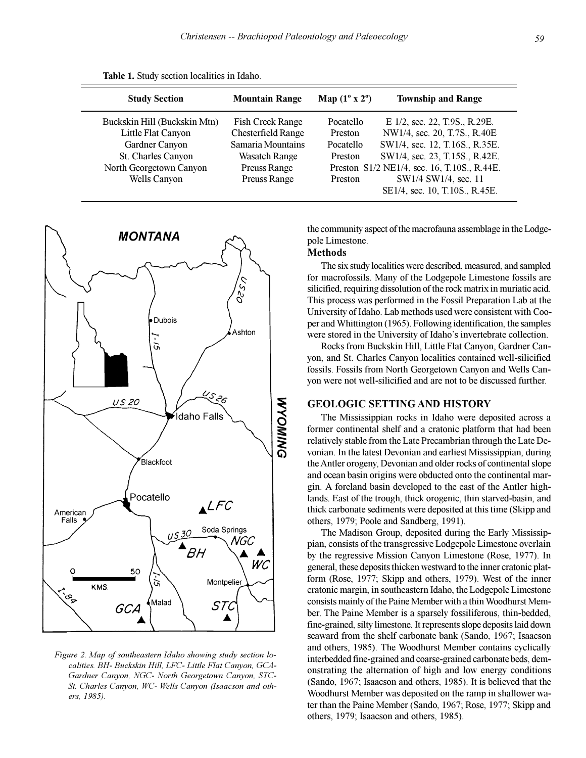|  |  | Table 1. Study section localities in Idaho. |  |
|--|--|---------------------------------------------|--|
|--|--|---------------------------------------------|--|

| <b>Study Section</b>                                                                                                                         | <b>Mountain Range</b>                                                                                                                    | Map $(1^{\circ} x 2^{\circ})$                                  | <b>Township and Range</b>                                                                                                                                                                                |
|----------------------------------------------------------------------------------------------------------------------------------------------|------------------------------------------------------------------------------------------------------------------------------------------|----------------------------------------------------------------|----------------------------------------------------------------------------------------------------------------------------------------------------------------------------------------------------------|
| Buckskin Hill (Buckskin Mtn)<br>Little Flat Canyon<br>Gardner Canyon<br>St. Charles Canyon<br>North Georgetown Canyon<br><b>Wells Canyon</b> | <b>Fish Creek Range</b><br><b>Chesterfield Range</b><br>Samaria Mountains<br><b>Wasatch Range</b><br>Preuss Range<br><b>Preuss Range</b> | Pocatello<br>Preston<br>Pocatello<br><b>Preston</b><br>Preston | E 1/2, sec. 22, T.9S., R.29E.<br>NW1/4, sec. 20, T.7S., R.40E<br>SW1/4, sec. 12, T.16S., R.35E.<br>SW1/4, sec. 23, T.15S., R.42E.<br>Preston S1/2 NE1/4, sec. 16, T.10S., R.44E.<br>SW1/4 SW1/4, sec. 11 |
|                                                                                                                                              |                                                                                                                                          |                                                                | SE1/4, sec. 10, T.10S., R.45E.                                                                                                                                                                           |



*Figure 2. Map of southeastern Idaho showing study section localities. BH- Buckskin Hill, LFC- Little Flat Canyon, GCA-Gardner Canyon, NGC- North Georgetown Canyon, STC-St. Charles Canyon, WC- Wells Canyon (Isaacson and others, 1985).*

the community aspect of the macrofauna assemblage in the Lodgepole Limestone.

# **Methods**

The six study localities were described, measured, and sampled for macrofossils. Many of the Lodgepole Limestone fossils are silicified, requiring dissolution of the rock matrix in muriatic acid. This process was performed in the Fossil Preparation Lab at the University of Idaho. Lab methods used were consistent with Cooper and Whittington (1965). Following identification, the samples were stored in the University of Idaho's invertebrate collection.

Rocks from Buckskin Hill, Little Flat Canyon, Gardner Canyon, and St. Charles Canyon localities contained well-silicified fossils. Fossils from North Georgetown Canyon and Wells Canyon were not well-silicified and are not to be discussed further.

## **GEOLOGIC SETTING AND HISTORY**

The Mississippian rocks in Idaho were deposited across a former continental shelf and a cratonic platform that had been relatively stable from the Late Precambrian through the Late Devonian. In the latest Devonian and earliest Mississippian, during the Antler orogeny, Devonian and older rocks of continental slope and ocean basin origins were obducted onto the continental margin. A foreland basin developed to the east of the Antler highlands. East of the trough, thick orogenic, thin starved-basin, and thick carbonate sediments were deposited at this time (Skipp and others, 1979; Poole and Sandberg, 1991).

The Madison Group, deposited during the Early Mississippian, consists of the transgressive Lodgepole Limestone overlain by the regressive Mission Canyon Limestone (Rose, 1977). In general, these deposits thicken westward to the inner cratonic platform (Rose, 1977; Skipp and others, 1979). West of the inner cratonic margin, in southeastern Idaho, the Lodgepole Limestone consists mainly of the Paine Member with a thin Woodhurst Member. The Paine Member is a sparsely fossiliferous, thin-bedded, fine-grained, silty limestone. It represents slope deposits laid down seaward from the shelf carbonate bank (Sando, 1967; Isaacson and others, 1985). The Woodhurst Member contains cyclically interbedded fine-grained and coarse-grained carbonate beds, demonstrating the alternation of high and low energy conditions (Sando, 1967; Isaacson and others, 1985). It is believed that the Woodhurst Member was deposited on the ramp in shallower water than the Paine Member (Sando, 1967; Rose, 1977; Skipp and others, 1979; Isaacson and others, 1985).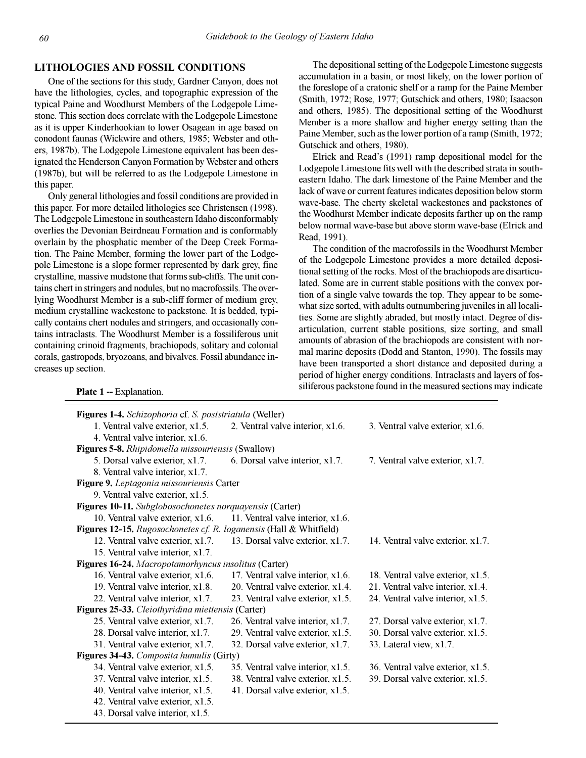## **LITHOLOGIES AND FOSSIL CONDITIONS**

One of the sections for this study, Gardner Canyon, does not have the lithologies, cycles, and topographic expression of the typical Paine and Woodhurst Members of the Lodgepole Limestone. This section does correlate with the Lodgepole Limestone as it is upper Kinderhookian to lower Osagean in age based on conodont faunas (Wickwire and others, 1985; Webster and others, 1987b). The Lodgepole Limestone equivalent has been designated the Henderson Canyon Formation by Webster and others (1987b), but will be referred to as the Lodgepole Limestone in this paper.

Only general lithologies and fossil conditions are provided in this paper. For more detailed lithologies see Christensen (1998). The Lodgepole Limestone in southeastern Idaho disconformably overlies the Devonian Beirdneau Formation and is conformably overlain by the phosphatic member of the Deep Creek Formation. The Paine Member, forming the lower part of the Lodgepole Limestone is a slope former represented by dark grey, fine crystalline, massive mudstone that forms sub-cliffs. The unit contains chert in stringers and nodules, but no macrofossils. The overlying Woodhurst Member is a sub-cliff former of medium grey, medium crystalline wackestone to packstone. It is bedded, typically contains chert nodules and stringers, and occasionally contains intraclasts. The Woodhurst Member is a fossiliferous unit containing crinoid fragments, brachiopods, solitary and colonial corals, gastropods, bryozoans, and bivalves. Fossil abundance increases up section.

The depositional setting of the Lodgepole Limestone suggests accumulation in a basin, or most likely, on the lower portion of the foreslope of a cratonic shelf or a ramp for the Paine Member (Smith, 1972; Rose, 1977; Gutschick and others, 1980; Isaacson and others, 1985). The depositional setting of the Woodhurst Member is a more shallow and higher energy setting than the Paine Member, such as the lower portion of a ramp (Smith, 1972; Gutschick and others, 1980).

Elrick and Read's (1991) ramp depositional model for the Lodgepole Limestone fits well with the described strata in southeastern Idaho. The dark limestone of the Paine Member and the lack of wave or current features indicates deposition below storm wave-base. The cherty skeletal wackestones and packstones of the Woodhurst Member indicate deposits farther up on the ramp below normal wave-base but above storm wave-base (Elrick and Read, 1991).

The condition of the macrofossils in the Woodhurst Member of the Lodgepole Limestone provides a more detailed depositional setting of the rocks. Most of the brachiopods are disarticulated. Some are in current stable positions with the convex portion of a single valve towards the top. They appear to be somewhat size sorted, with adults outnumbering juveniles in all localities. Some are slightly abraded, but mostly intact. Degree of disarticulation, current stable positions, size sorting, and small amounts of abrasion of the brachiopods are consistent with normal marine deposits (Dodd and Stanton, 1990). The fossils may have been transported a short distance and deposited during a period of higher energy conditions. Intraclasts and layers of fossiliferous packstone found in the measured sections may indicate **Plate 1** -- Explanation.

| Figures 1-4. Schizophoria cf. S. poststriatula (Weller)            |                                   |                                   |
|--------------------------------------------------------------------|-----------------------------------|-----------------------------------|
| 1. Ventral valve exterior, x1.5.                                   | 2. Ventral valve interior, x1.6.  | 3. Ventral valve exterior, x1.6.  |
| 4. Ventral valve interior, x1.6.                                   |                                   |                                   |
| Figures 5-8. Rhipidomella missouriensis (Swallow)                  |                                   |                                   |
| 5. Dorsal valve exterior, x1.7.                                    | 6. Dorsal valve interior, x1.7.   | 7. Ventral valve exterior, x1.7.  |
| 8. Ventral valve interior, x1.7.                                   |                                   |                                   |
| Figure 9. Leptagonia missouriensis Carter                          |                                   |                                   |
| 9. Ventral valve exterior, x1.5.                                   |                                   |                                   |
| Figures 10-11. Subglobosochonetes norquayensis (Carter)            |                                   |                                   |
| 10. Ventral valve exterior, x1.6.                                  | 11. Ventral valve interior, x1.6. |                                   |
| Figures 12-15. Rugosochonetes cf. R. loganensis (Hall & Whitfield) |                                   |                                   |
| 12. Ventral valve exterior, x1.7.                                  | 13. Dorsal valve exterior, x1.7.  | 14. Ventral valve exterior, x1.7. |
| 15. Ventral valve interior, x1.7.                                  |                                   |                                   |
| Figures 16-24. Macropotamorhyncus insolitus (Carter)               |                                   |                                   |
| 16. Ventral valve exterior, x1.6.                                  | 17. Ventral valve interior, x1.6. | 18. Ventral valve exterior, x1.5. |
| 19. Ventral valve interior, x1.8.                                  | 20. Ventral valve exterior, x1.4. | 21. Ventral valve interior, x1.4. |
| 22. Ventral valve interior, x1.7.                                  | 23. Ventral valve exterior, x1.5. | 24. Ventral valve interior, x1.5. |
| Figures 25-33. Cleiothyridina miettensis (Carter)                  |                                   |                                   |
| 25. Ventral valve exterior, x1.7.                                  | 26. Ventral valve interior, x1.7. | 27. Dorsal valve exterior, x1.7.  |
| 28. Dorsal valve interior, x1.7.                                   | 29. Ventral valve exterior, x1.5. | 30. Dorsal valve exterior, x1.5.  |
| 31. Ventral valve exterior, x1.7.                                  | 32. Dorsal valve exterior, x1.7.  | 33. Lateral view, x1.7.           |
| Figures 34-43. Composita humulis (Girty)                           |                                   |                                   |
| 34. Ventral valve exterior, x1.5.                                  | 35. Ventral valve interior, x1.5. | 36. Ventral valve exterior, x1.5. |
| 37. Ventral valve interior, x1.5.                                  | 38. Ventral valve exterior, x1.5. | 39. Dorsal valve exterior, x1.5.  |
| 40. Ventral valve interior, x1.5.                                  | 41. Dorsal valve exterior, x1.5.  |                                   |
| 42. Ventral valve exterior, x1.5.                                  |                                   |                                   |
| 43. Dorsal valve interior, x1.5.                                   |                                   |                                   |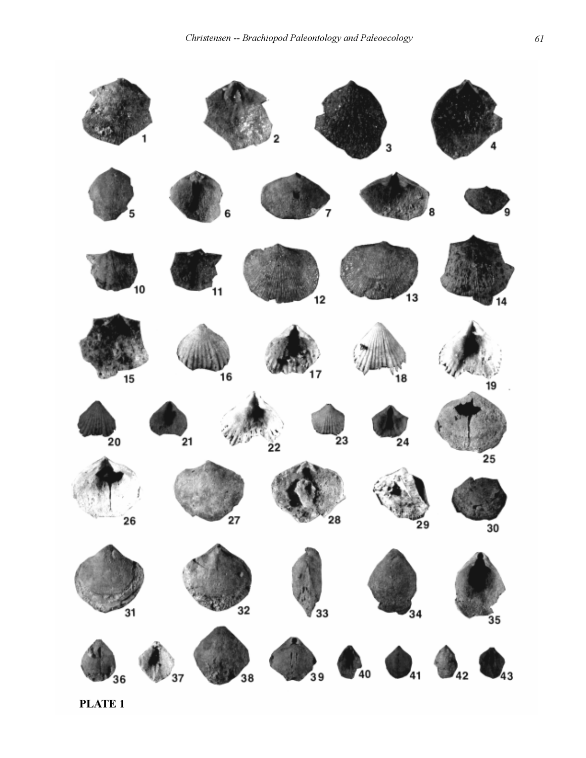

**PLATE 1**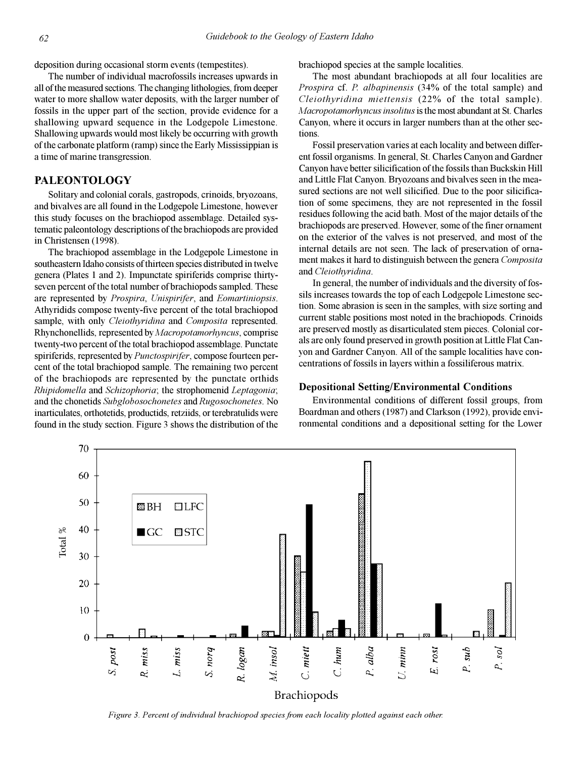deposition during occasional storm events (tempestites).

The number of individual macrofossils increases upwards in all of the measured sections. The changing lithologies, from deeper water to more shallow water deposits, with the larger number of fossils in the upper part of the section, provide evidence for a shallowing upward sequence in the Lodgepole Limestone. Shallowing upwards would most likely be occurring with growth of the carbonate platform (ramp) since the Early Mississippian is a time of marine transgression.

# **PALEONTOLOGY**

Solitary and colonial corals, gastropods, crinoids, bryozoans, and bivalves are all found in the Lodgepole Limestone, however this study focuses on the brachiopod assemblage. Detailed systematic paleontology descriptions of the brachiopods are provided in Christensen (1998).

The brachiopod assemblage in the Lodgepole Limestone in southeastern Idaho consists of thirteen species distributed in twelve genera (Plates 1 and 2). Impunctate spiriferids comprise thirtyseven percent of the total number of brachiopods sampled. These are represented by *Prospira*, *Unispirifer*, and *Eomartiniopsis*. Athyridids compose twenty-five percent of the total brachiopod sample, with only *Cleiothyridina* and *Composita* represented. Rhynchonellids, represented by *Macropotamorhyncus*, comprise twenty-two percent of the total brachiopod assemblage. Punctate spiriferids, represented by *Punctospirifer*, compose fourteen percent of the total brachiopod sample. The remaining two percent of the brachiopods are represented by the punctate orthids *Rhipidomella* and *Schizophoria*; the strophomenid *Leptagonia*; and the chonetids *Subglobosochonetes* and *Rugosochonetes*. No inarticulates, orthotetids, productids, retziids, or terebratulids were found in the study section. Figure 3 shows the distribution of the brachiopod species at the sample localities.

The most abundant brachiopods at all four localities are *Prospira* cf. *P. albapinensis* (34% of the total sample) and *Cleiothyridina miettensis* (22% of the total sample). *Macropotamorhyncus insolitus* is the most abundant at St. Charles Canyon, where it occurs in larger numbers than at the other sections.

Fossil preservation varies at each locality and between different fossil organisms. In general, St. Charles Canyon and Gardner Canyon have better silicification of the fossils than Buckskin Hill and Little Flat Canyon. Bryozoans and bivalves seen in the measured sections are not well silicified. Due to the poor silicification of some specimens, they are not represented in the fossil residues following the acid bath. Most of the major details of the brachiopods are preserved. However, some of the finer ornament on the exterior of the valves is not preserved, and most of the internal details are not seen. The lack of preservation of ornament makes it hard to distinguish between the genera *Composita* and *Cleiothyridina*.

In general, the number of individuals and the diversity of fossils increases towards the top of each Lodgepole Limestone section. Some abrasion is seen in the samples, with size sorting and current stable positions most noted in the brachiopods. Crinoids are preserved mostly as disarticulated stem pieces. Colonial corals are only found preserved in growth position at Little Flat Canyon and Gardner Canyon. All of the sample localities have concentrations of fossils in layers within a fossiliferous matrix.

## **Depositional Setting/Environmental Conditions**

Environmental conditions of different fossil groups, from Boardman and others (1987) and Clarkson (1992), provide environmental conditions and a depositional setting for the Lower



*Figure 3. Percent of individual brachiopod species from each locality plotted against each other.*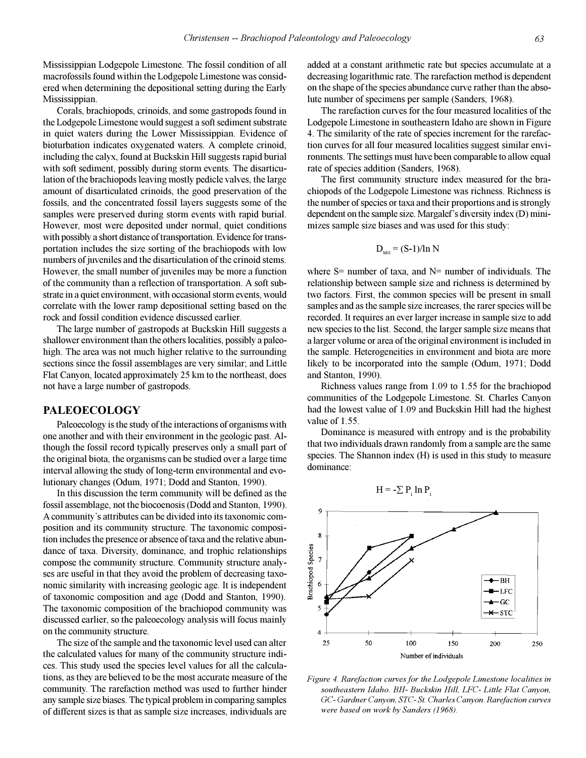Mississippian Lodgepole Limestone. The fossil condition of all macrofossils found within the Lodgepole Limestone was considered when determining the depositional setting during the Early Mississippian.

Corals, brachiopods, crinoids, and some gastropods found in the Lodgepole Limestone would suggest a soft sediment substrate in quiet waters during the Lower Mississippian. Evidence of bioturbation indicates oxygenated waters. A complete crinoid, including the calyx, found at Buckskin Hill suggests rapid burial with soft sediment, possibly during storm events. The disarticulation of the brachiopods leaving mostly pedicle valves, the large amount of disarticulated crinoids, the good preservation of the fossils, and the concentrated fossil layers suggests some of the samples were preserved during storm events with rapid burial. However, most were deposited under normal, quiet conditions with possibly a short distance of transportation. Evidence for transportation includes the size sorting of the brachiopods with low numbers of juveniles and the disarticulation of the crinoid stems. However, the small number of juveniles may be more a function of the community than a reflection of transportation. A soft substrate in a quiet environment, with occasional storm events, would correlate with the lower ramp depositional setting based on the rock and fossil condition evidence discussed earlier.

The large number of gastropods at Buckskin Hill suggests a shallower environment than the others localities, possibly a paleohigh. The area was not much higher relative to the surrounding sections since the fossil assemblages are very similar; and Little Flat Canyon, located approximately 25 km to the northeast, does not have a large number of gastropods.

# **PALEOECOLOGY**

Paleoecology is the study of the interactions of organisms with one another and with their environment in the geologic past. Although the fossil record typically preserves only a small part of the original biota, the organisms can be studied over a large time interval allowing the study of long-term environmental and evolutionary changes (Odum, 1971; Dodd and Stanton, 1990).

In this discussion the term community will be defined as the fossil assemblage, not the biocoenosis (Dodd and Stanton, 1990). A community's attributes can be divided into its taxonomic composition and its community structure. The taxonomic composition includes the presence or absence of taxa and the relative abundance of taxa. Diversity, dominance, and trophic relationships compose the community structure. Community structure analyses are useful in that they avoid the problem of decreasing taxonomic similarity with increasing geologic age. It is independent of taxonomic composition and age (Dodd and Stanton, 1990). The taxonomic composition of the brachiopod community was discussed earlier, so the paleoecology analysis will focus mainly on the community structure.

The size of the sample and the taxonomic level used can alter the calculated values for many of the community structure indices. This study used the species level values for all the calculations, as they are believed to be the most accurate measure of the community. The rarefaction method was used to further hinder any sample size biases. The typical problem in comparing samples of different sizes is that as sample size increases, individuals are

added at a constant arithmetic rate but species accumulate at a decreasing logarithmic rate. The rarefaction method is dependent on the shape of the species abundance curve rather than the absolute number of specimens per sample (Sanders, 1968).

The rarefaction curves for the four measured localities of the Lodgepole Limestone in southeastern Idaho are shown in Figure 4. The similarity of the rate of species increment for the rarefaction curves for all four measured localities suggest similar environments. The settings must have been comparable to allow equal rate of species addition (Sanders, 1968).

The first community structure index measured for the brachiopods of the Lodgepole Limestone was richness. Richness is the number of species or taxa and their proportions and is strongly dependent on the sample size. Margalef's diversity index  $(D)$  minimizes sample size biases and was used for this study:

$$
D_{\rm MG} = (S-1)/\ln N
$$

where  $S=$  number of taxa, and  $N=$  number of individuals. The relationship between sample size and richness is determined by two factors. First, the common species will be present in small samples and as the sample size increases, the rarer species will be recorded. It requires an ever larger increase in sample size to add new species to the list. Second, the larger sample size means that a larger volume or area of the original environment is included in the sample. Heterogeneities in environment and biota are more likely to be incorporated into the sample (Odum, 1971; Dodd and Stanton, 1990).

Richness values range from 1.09 to 1.55 for the brachiopod communities of the Lodgepole Limestone. St. Charles Canyon had the lowest value of 1.09 and Buckskin Hill had the highest value of 1.55.

Dominance is measured with entropy and is the probability that two individuals drawn randomly from a sample are the same species. The Shannon index (H) is used in this study to measure dominance:

 $H = -\sum P_i \ln P_i$ 



*Figure 4. Rarefaction curves for the Lodgepole Limestone localities in southeastern Idaho. BH- Buckskin Hill, LFC- Little Flat Canyon, GC- Gardner Canyon, STC- St. Charles Canyon. Rarefaction curves were based on work by Sanders (1968).*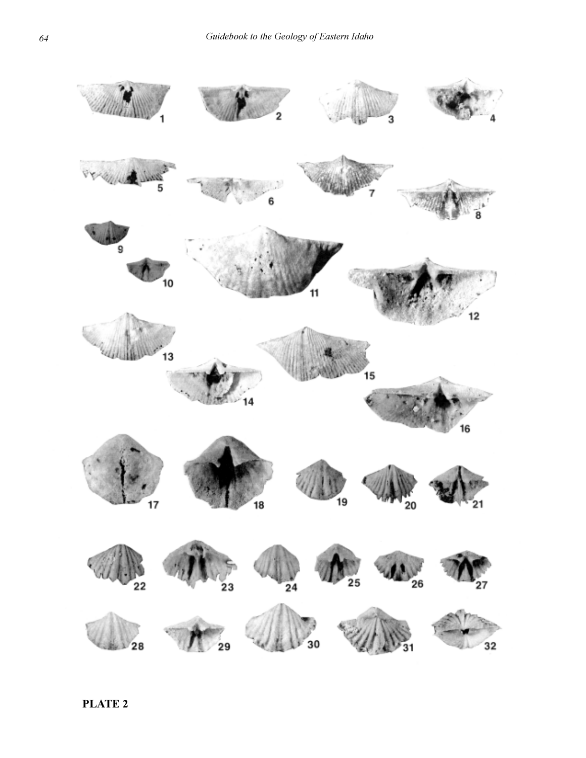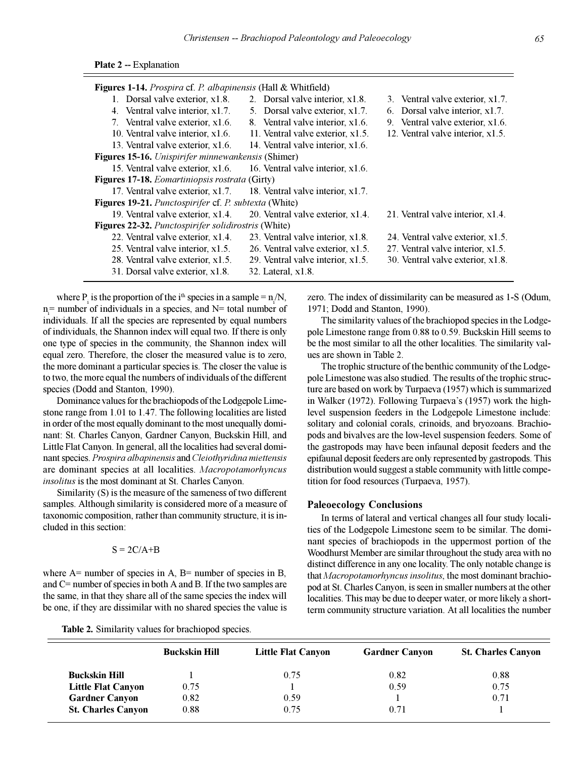| Figures 1-14. Prospira cf. P. albapinensis (Hall & Whitfield) |                                   |                                   |
|---------------------------------------------------------------|-----------------------------------|-----------------------------------|
| 1. Dorsal valve exterior, x1.8.                               | 2. Dorsal valve interior, x1.8.   | 3. Ventral valve exterior, x1.7.  |
| 4. Ventral valve interior, x1.7.                              | 5. Dorsal valve exterior, x1.7.   | 6. Dorsal valve interior, x1.7.   |
| 7. Ventral valve exterior, x1.6.                              | 8. Ventral valve interior, x1.6.  | 9. Ventral valve exterior, x1.6.  |
| 10. Ventral valve interior, x1.6.                             | 11. Ventral valve exterior, x1.5. | 12. Ventral valve interior, x1.5. |
| 13. Ventral valve exterior, x1.6.                             | 14. Ventral valve interior, x1.6. |                                   |
| Figures 15-16. Unispirifer minnewankensis (Shimer)            |                                   |                                   |
| 15. Ventral valve exterior, x1.6.                             | 16. Ventral valve interior, x1.6. |                                   |
| Figures 17-18. Eomartiniopsis rostrata (Girty)                |                                   |                                   |
| 17. Ventral valve exterior, x1.7.                             | 18. Ventral valve interior, x1.7. |                                   |
| Figures 19-21. Punctospirifer cf. P. subtexta (White)         |                                   |                                   |
| 19. Ventral valve exterior, x1.4.                             | 20. Ventral valve exterior, x1.4. | 21. Ventral valve interior, x1.4. |
| Figures 22-32. Punctospirifer solidirostris (White)           |                                   |                                   |
| 22. Ventral valve exterior, x1.4.                             | 23. Ventral valve interior, x1.8. | 24. Ventral valve exterior, x1.5. |
| 25. Ventral valve interior, x1.5.                             | 26. Ventral valve exterior, x1.5. | 27. Ventral valve interior, x1.5. |
| 28. Ventral valve exterior, x1.5.                             | 29. Ventral valve interior, x1.5. | 30. Ventral valve exterior, x1.8. |
| 31. Dorsal valve exterior, x1.8.                              | 32. Lateral, x1.8.                |                                   |

where  $P_i$  is the proportion of the i<sup>th</sup> species in a sample =  $n/N$ ,  $n_i$ = number of individuals in a species, and N= total number of individuals. If all the species are represented by equal numbers of individuals, the Shannon index will equal two. If there is only one type of species in the community, the Shannon index will equal zero. Therefore, the closer the measured value is to zero, the more dominant a particular species is. The closer the value is to two, the more equal the numbers of individuals of the different species (Dodd and Stanton, 1990).

Dominance values for the brachiopods of the Lodgepole Limestone range from 1.01 to 1.47. The following localities are listed in order of the most equally dominant to the most unequally dominant: St. Charles Canyon, Gardner Canyon, Buckskin Hill, and Little Flat Canyon. In general, all the localities had several dominant species. *Prospira albapinensis* and *Cleiothyridina miettensis* are dominant species at all localities. *Macropotamorhyncus insolitus* is the most dominant at St. Charles Canyon.

Similarity (S) is the measure of the sameness of two different samples. Although similarity is considered more of a measure of taxonomic composition, rather than community structure, it is included in this section:

## $S = 2C/A+B$

where  $A=$  number of species in  $A$ ,  $B=$  number of species in  $B$ , and C= number of species in both A and B. If the two samples are the same, in that they share all of the same species the index will be one, if they are dissimilar with no shared species the value is

**Table 2.** Similarity values for brachiopod species.

zero. The index of dissimilarity can be measured as 1-S (Odum, 1971; Dodd and Stanton, 1990).

The similarity values of the brachiopod species in the Lodgepole Limestone range from 0.88 to 0.59. Buckskin Hill seems to be the most similar to all the other localities. The similarity values are shown in Table 2.

The trophic structure of the benthic community of the Lodgepole Limestone was also studied. The results of the trophic structure are based on work by Turpaeva (1957) which is summarized in Walker (1972). Following Turpaeva's (1957) work the highlevel suspension feeders in the Lodgepole Limestone include: solitary and colonial corals, crinoids, and bryozoans. Brachiopods and bivalves are the low-level suspension feeders. Some of the gastropods may have been infaunal deposit feeders and the epifaunal deposit feeders are only represented by gastropods. This distribution would suggest a stable community with little competition for food resources (Turpaeva, 1957).

## **Paleoecology Conclusions**

In terms of lateral and vertical changes all four study localities of the Lodgepole Limestone seem to be similar. The dominant species of brachiopods in the uppermost portion of the Woodhurst Member are similar throughout the study area with no distinct difference in any one locality. The only notable change is that *Macropotamorhyncus insolitus*, the most dominant brachiopod at St. Charles Canyon, is seen in smaller numbers at the other localities. This may be due to deeper water, or more likely a shortterm community structure variation. At all localities the number

|                           | <b>Buckskin Hill</b> | <b>Little Flat Canyon</b> | <b>Gardner Canyon</b> | <b>St. Charles Canyon</b> |
|---------------------------|----------------------|---------------------------|-----------------------|---------------------------|
| <b>Buckskin Hill</b>      |                      | 0.75                      | 0.82                  | 0.88                      |
| <b>Little Flat Canyon</b> | 0.75                 |                           | 0.59                  | 0.75                      |
| <b>Gardner Canyon</b>     | 0.82                 | 0.59                      |                       | 0.71                      |
| <b>St. Charles Canyon</b> | 0.88                 | 0.75                      | 0.71                  |                           |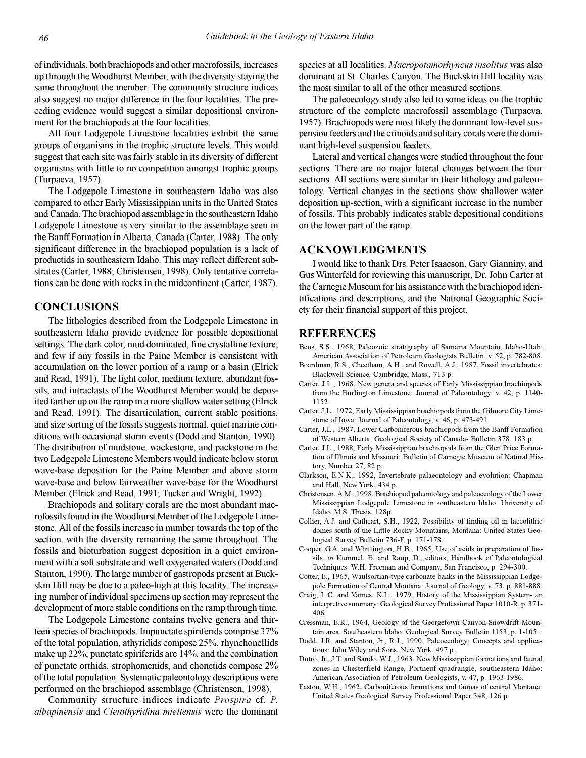of individuals, both brachiopods and other macrofossils, increases up through the Woodhurst Member, with the diversity staying the same throughout the member. The community structure indices also suggest no major difference in the four localities. The preceding evidence would suggest a similar depositional environment for the brachiopods at the four localities.

All four Lodgepole Limestone localities exhibit the same groups of organisms in the trophic structure levels. This would suggest that each site was fairly stable in its diversity of different organisms with little to no competition amongst trophic groups (Turpaeva, 1957).

The Lodgepole Limestone in southeastern Idaho was also compared to other Early Mississippian units in the United States and Canada. The brachiopod assemblage in the southeastern Idaho Lodgepole Limestone is very similar to the assemblage seen in the Banff Formation in Alberta, Canada (Carter, 1988). The only significant difference in the brachiopod population is a lack of productids in southeastern Idaho. This may reflect different substrates (Carter, 1988; Christensen, 1998). Only tentative correlations can be done with rocks in the midcontinent (Carter, 1987).

## **CONCLUSIONS**

The lithologies described from the Lodgepole Limestone in southeastern Idaho provide evidence for possible depositional settings. The dark color, mud dominated, fine crystalline texture, and few if any fossils in the Paine Member is consistent with accumulation on the lower portion of a ramp or a basin (Elrick and Read, 1991). The light color, medium texture, abundant fossils, and intraclasts of the Woodhurst Member would be deposited farther up on the ramp in a more shallow water setting (Elrick and Read, 1991). The disarticulation, current stable positions, and size sorting of the fossils suggests normal, quiet marine conditions with occasional storm events (Dodd and Stanton, 1990). The distribution of mudstone, wackestone, and packstone in the two Lodgepole Limestone Members would indicate below storm wave-base deposition for the Paine Member and above storm wave-base and below fairweather wave-base for the Woodhurst Member (Elrick and Read, 1991; Tucker and Wright, 1992).

Brachiopods and solitary corals are the most abundant macrofossils found in the Woodhurst Member of the Lodgepole Limestone. All of the fossils increase in number towards the top of the section, with the diversity remaining the same throughout. The fossils and bioturbation suggest deposition in a quiet environment with a soft substrate and well oxygenated waters (Dodd and Stanton, 1990). The large number of gastropods present at Buckskin Hill may be due to a paleo-high at this locality. The increasing number of individual specimens up section may represent the development of more stable conditions on the ramp through time.

The Lodgepole Limestone contains twelve genera and thirteen species of brachiopods. Impunctate spiriferids comprise 37% of the total population, athyridids compose 25%, rhynchonellids make up 22%, punctate spiriferids are 14%, and the combination of punctate orthids, strophomenids, and chonetids compose 2% of the total population. Systematic paleontology descriptions were performed on the brachiopod assemblage (Christensen, 1998).

Community structure indices indicate *Prospira* cf. *P. albapinensis* and *Cleiothyridina miettensis* were the dominant species at all localities. *Macropotamorhyncus insolitus* was also dominant at St. Charles Canyon. The Buckskin Hill locality was the most similar to all of the other measured sections.

The paleoecology study also led to some ideas on the trophic structure of the complete macrofossil assemblage (Turpaeva, 1957). Brachiopods were most likely the dominant low-level suspension feeders and the crinoids and solitary corals were the dominant high-level suspension feeders.

Lateral and vertical changes were studied throughout the four sections. There are no major lateral changes between the four sections. All sections were similar in their lithology and paleontology. Vertical changes in the sections show shallower water deposition up-section, with a significant increase in the number of fossils. This probably indicates stable depositional conditions on the lower part of the ramp.

# **ACKNOWLEDGMENTS**

I would like to thank Drs. Peter Isaacson, Gary Gianniny, and Gus Winterfeld for reviewing this manuscript, Dr. John Carter at the Carnegie Museum for his assistance with the brachiopod identifications and descriptions, and the National Geographic Society for their financial support of this project.

## **REFERENCES**

- Beus, S.S., 1968, Paleozoic stratigraphy of Samaria Mountain, Idaho-Utah: American Association of Petroleum Geologists Bulletin, v. 52, p. 782-808.
- Boardman, R.S., Cheetham, A.H., and Rowell, A.J., 1987, Fossil invertebrates: Blackwell Science, Cambridge, Mass., 713 p.
- Carter, J.L., 1968, New genera and species of Early Mississippian brachiopods from the Burlington Limestone: Journal of Paleontology, v. 42, p. 1140- 1152.
- Carter, J.L., 1972, Early Mississippian brachiopods from the Gilmore City Limestone of Iowa: Journal of Paleontology, v. 46, p. 473-491.
- Carter, J.L., 1987, Lower Carboniferous brachiopods from the Banff Formation of Western Alberta: Geological Society of Canada- Bulletin 378, 183 p.
- Carter, J.L., 1988, Early Mississippian brachiopods from the Glen Price Formation of Illinois and Missouri: Bulletin of Carnegie Museum of Natural History, Number 27, 82 p.
- Clarkson, E.N.K., 1992, Invertebrate palaeontology and evolution: Chapman and Hall, New York, 434 p.
- Christensen, A.M., 1998, Brachiopod paleontology and paleoecology of the Lower Mississippian Lodgepole Limestone in southeastern Idaho: University of Idaho, M.S. Thesis, 128p.
- Collier, A.J. and Cathcart, S.H., 1922, Possibility of finding oil in laccolithic domes south of the Little Rocky Mountains, Montana: United States Geological Survey Bulletin 736-F, p. 171-178.
- Cooper, G.A. and Whittington, H.B., 1965, Use of acids in preparation of fossils, *in* Kummel, B. and Raup, D., editors, Handbook of Paleontological Techniques: W.H. Freeman and Company, San Francisco, p. 294-300.
- Cotter, E., 1965, Waulsortian-type carbonate banks in the Mississippian Lodgepole Formation of Central Montana: Journal of Geology, v. 73, p. 881-888.
- Craig, L.C. and Varnes, K.L., 1979, History of the Mississippian System- an interpretive summary: Geological Survey Professional Paper 1010-R, p. 371- 406.
- Cressman, E.R., 1964, Geology of the Georgetown Canyon-Snowdrift Mountain area, Southeastern Idaho: Geological Survey Bulletin 1153, p. 1-105.
- Dodd, J.R. and Stanton, Jr., R.J., 1990, Paleoecology: Concepts and applications: John Wiley and Sons, New York, 497 p.
- Dutro, Jr., J.T. and Sando, W.J., 1963, New Mississippian formations and faunal zones in Chesterfield Range, Portneuf quadrangle, southeastern Idaho: American Association of Petroleum Geologists, v. 47, p. 1963-1986.
- Easton, W.H., 1962, Carboniferous formations and faunas of central Montana: United States Geological Survey Professional Paper 348, 126 p.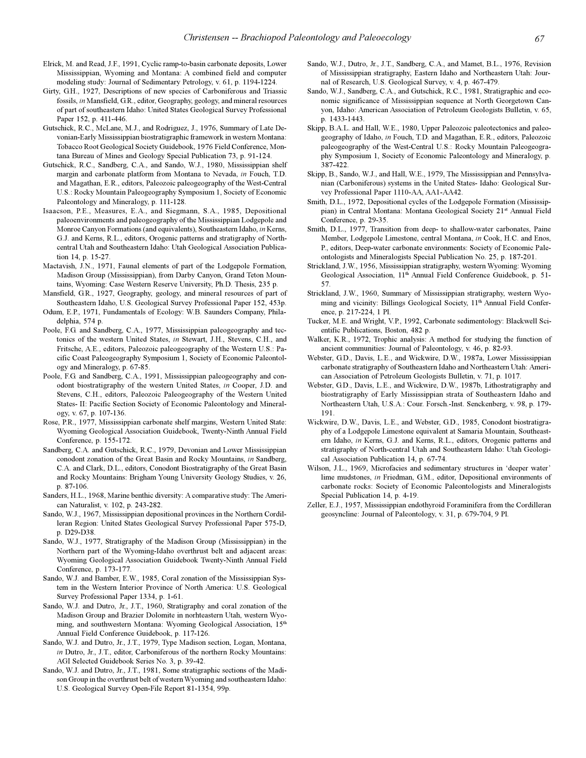- Elrick, M. and Read, J.F., 1991, Cyclic ramp-to-basin carbonate deposits, Lower Mississippian, Wyoming and Montana: A combined field and computer modeling study: Journal of Sedimentary Petrology, v. 61, p. 1194-1224.
- Girty, G.H., 1927, Descriptions of new species of Carboniferous and Triassic fossils, in Mansfield, G.R., editor, Geography, geology, and mineral resources of part of southeastern Idaho: United States Geological Survey Professional Paper 152, p. 411-446.
- Gutschick, R.C., McLane, M.J., and Rodriguez, J., 1976, Summary of Late Devonian-Early Mississippian biostratigraphic framework in western Montana: Tobacco Root Geological Society Guidebook, 1976 Field Conference, Montana Bureau of Mines and Geology Special Publication 73, p. 91-124.
- Gutschick, R.C., Sandberg, C.A., and Sando, W.J., 1980, Mississippian shelf margin and carbonate platform from Montana to Nevada, *in* Fouch, T.D. and Magathan, E.R., editors, Paleozoic paleogeography of the West-Central U.S.: Rocky Mountain Paleogeography Symposium 1, Society of Economic Paleontology and Mineralogy, p. 111-128.
- Isaacson, P.E., Measures, E.A., and Siegmann, S.A., 1985, Depositional paleoenvironments and paleogeography of the Mississippian Lodgepole and Monroe Canyon Formations (and equivalents), Southeastern Idaho, *in* Kerns, G.J. and Kerns, R.L., editors, Orogenic patterns and stratigraphy of Northcentral Utah and Southeastern Idaho: Utah Geological Association Publication 14, p. 15-27.
- Mactavish, J.N., 1971, Faunal elements of part of the Lodgepole Formation, Madison Group (Mississippian), from Darby Canyon, Grand Teton Mountains, Wyoming: Case Western Reserve University, Ph.D. Thesis, 235 p.
- Mansfield, G.R., 1927, Geography, geology, and mineral resources of part of Southeastern Idaho, U.S. Geological Survey Professional Paper 152, 453p.
- Odum, E.P., 1971, Fundamentals of Ecology: W.B. Saunders Company, Philadelphia, 574 p.
- Poole, F.G. and Sandberg, C.A., 1977, Mississippian paleogeography and tectonics of the western United States, *in* Stewart, J.H., Stevens, C.H., and Fritsche, A.E., editors, Paleozoic paleogeography of the Western U.S.: Pacific Coast Paleogeography Symposium 1, Society of Economic Paleontology and Mineralogy, p. 67-85.
- Poole, F.G. and Sandberg, C.A., 1991, Mississippian paleogeography and conodont biostratigraphy of the western United States, *in* Cooper, J.D. and Stevens, C.H., editors, Paleozoic Paleogeography of the Western United States- II: Pacific Section Society of Economic Paleontology and Mineralogy, v. 67, p. 107-136.
- Rose, P.R., 1977, Mississippian carbonate shelf margins, Western United State: Wyoming Geological Association Guidebook, Twenty-Ninth Annual Field Conference, p. 155-172.
- Sandberg, C.A. and Gutschick, R.C., 1979, Devonian and Lower Mississippian conodont zonation of the Great Basin and Rocky Mountains, *in* Sandberg, C.A. and Clark, D.L., editors, Conodont Biostratigraphy of the Great Basin and Rocky Mountains: Brigham Young University Geology Studies, v. 26, p. 87-106.
- Sanders, H.L., 1968, Marine benthic diversity: A comparative study: The American Naturalist, v. 102, p. 243-282.
- Sando, W.J., 1967, Mississippian depositional provinces in the Northern Cordilleran Region: United States Geological Survey Professional Paper 575-D, p. D29-D38.
- Sando, W.J., 1977, Stratigraphy of the Madison Group (Mississippian) in the Northern part of the Wyoming-Idaho overthrust belt and adjacent areas: Wyoming Geological Association Guidebook Twenty-Ninth Annual Field Conference, p. 173-177.
- Sando, W.J. and Bamber, E.W., 1985, Coral zonation of the Mississippian System in the Western Interior Province of North America: U.S. Geological Survey Professional Paper 1334, p. 1-61.
- Sando, W.J. and Dutro, Jr., J.T., 1960, Stratigraphy and coral zonation of the Madison Group and Brazier Dolomite in norhteastern Utah, western Wyoming, and southwestern Montana: Wyoming Geological Association, 15<sup>th</sup> Annual Field Conference Guidebook, p. 117-126.
- Sando, W.J. and Dutro, Jr., J.T., 1979, Type Madison section, Logan, Montana, *in* Dutro, Jr., J.T., editor, Carboniferous of the northern Rocky Mountains: AGI Selected Guidebook Series No. 3, p. 39-42.
- Sando, W.J. and Dutro, Jr., J.T., 1981, Some stratigraphic sections of the Madison Group in the overthrust belt of western Wyoming and southeastern Idaho: U.S. Geological Survey Open-File Report 81-1354, 99p.
- Sando, W.J., Dutro, Jr., J.T., Sandberg, C.A., and Mamet, B.L., 1976, Revision of Mississippian stratigraphy, Eastern Idaho and Northeastern Utah: Journal of Research, U.S. Geological Survey, v. 4, p. 467-479.
- Sando, W.J., Sandberg, C.A., and Gutschick, R.C., 1981, Stratigraphic and economic significance of Mississippian sequence at North Georgetown Canyon, Idaho: American Association of Petroleum Geologists Bulletin, v. 65, p. 1433-1443.
- Skipp, B.A.L. and Hall, W.E., 1980, Upper Paleozoic paleotectonics and paleogeography of Idaho, *in* Fouch, T.D. and Magathan, E.R., editors, Paleozoic paleogeography of the West-Central U.S.: Rocky Mountain Paleogeography Symposium 1, Society of Economic Paleontology and Mineralogy, p. 387-422.
- Skipp, B., Sando, W.J., and Hall, W.E., 1979, The Mississippian and Pennsylvanian (Carboniferous) systems in the United States- Idaho: Geological Survey Professional Paper 1110-AA, AA1-AA42.
- Smith, D.L., 1972, Depositional cycles of the Lodgepole Formation (Mississippian) in Central Montana: Montana Geological Society 21st Annual Field Conference, p. 29-35.
- Smith, D.L., 1977, Transition from deep- to shallow-water carbonates, Paine Member, Lodgepole Limestone, central Montana, *in* Cook, H.C. and Enos, P., editors, Deep-water carbonate environments: Society of Economic Paleontologists and Mineralogists Special Publication No. 25, p. 187-201.
- Strickland, J.W., 1956, Mississippian stratigraphy, western Wyoming: Wyoming Geological Association, 11th Annual Field Conference Guidebook, p. 51- 57.
- Strickland, J.W., 1960, Summary of Mississippian stratigraphy, western Wyoming and vicinity: Billings Geological Society, 11<sup>th</sup> Annual Field Conference, p. 217-224, 1 Pl.
- Tucker, M.E. and Wright, V.P., 1992, Carbonate sedimentology: Blackwell Scientific Publications, Boston, 482 p.
- Walker, K.R., 1972, Trophic analysis: A method for studying the function of ancient communities: Journal of Paleontology, v. 46, p. 82-93.
- Webster, G.D., Davis, L.E., and Wickwire, D.W., 1987a, Lower Mississippian carbonate stratigraphy of Southeastern Idaho and Northeastern Utah: American Association of Petroleum Geologists Bulletin, v. 71, p. 1017.
- Webster, G.D., Davis, L.E., and Wickwire, D.W., 1987b, Lithostratigraphy and biostratigraphy of Early Mississippian strata of Southeastern Idaho and Northeastern Utah, U.S.A.: Cour. Forsch.-Inst. Senckenberg, v. 98, p. 179- 191.
- Wickwire, D.W., Davis, L.E., and Webster, G.D., 1985, Conodont biostratigraphy of a Lodgepole Limestone equivalent at Samaria Mountain, Southeastern Idaho, *in* Kerns, G.J. and Kerns, R.L., editors, Orogenic patterns and stratigraphy of North-central Utah and Southeastern Idaho: Utah Geological Association Publication 14, p. 67-74.
- Wilson, J.L., 1969, Microfacies and sedimentary structures in 'deeper water' lime mudstones, *in* Friedman, G.M., editor, Depositional environments of carbonate rocks: Society of Economic Paleontologists and Mineralogists Special Publication 14, p. 4-19.
- Zeller, E.J., 1957, Mississippian endothyroid Foraminifera from the Cordilleran geosyncline: Journal of Paleontology, v. 31, p. 679-704, 9 Pl.